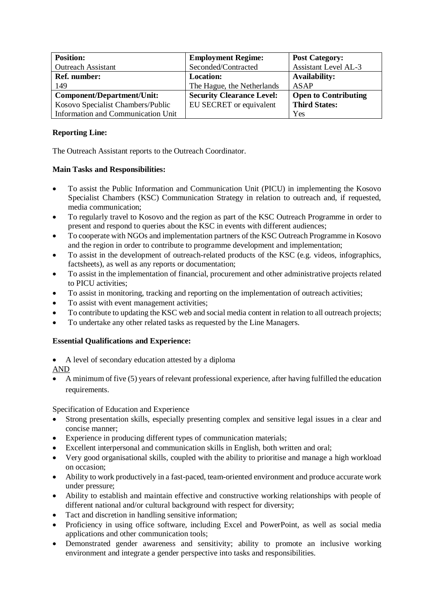| <b>Position:</b>                   | <b>Employment Regime:</b>        | <b>Post Category:</b>       |
|------------------------------------|----------------------------------|-----------------------------|
| <b>Outreach Assistant</b>          | Seconded/Contracted              | <b>Assistant Level AL-3</b> |
| <b>Ref.</b> number:                | <b>Location:</b>                 | <b>Availability:</b>        |
| 149                                | The Hague, the Netherlands       | <b>ASAP</b>                 |
| <b>Component/Department/Unit:</b>  | <b>Security Clearance Level:</b> | <b>Open to Contributing</b> |
| Kosovo Specialist Chambers/Public  | EU SECRET or equivalent          | <b>Third States:</b>        |
| Information and Communication Unit |                                  | Yes                         |

## **Reporting Line:**

The Outreach Assistant reports to the Outreach Coordinator.

## **Main Tasks and Responsibilities:**

- To assist the Public Information and Communication Unit (PICU) in implementing the Kosovo Specialist Chambers (KSC) Communication Strategy in relation to outreach and, if requested, media communication;
- To regularly travel to Kosovo and the region as part of the KSC Outreach Programme in order to present and respond to queries about the KSC in events with different audiences;
- To cooperate with NGOs and implementation partners of the KSC Outreach Programme in Kosovo and the region in order to contribute to programme development and implementation;
- To assist in the development of outreach-related products of the KSC (e.g. videos, infographics, factsheets), as well as any reports or documentation;
- To assist in the implementation of financial, procurement and other administrative projects related to PICU activities;
- To assist in monitoring, tracking and reporting on the implementation of outreach activities;
- To assist with event management activities;
- To contribute to updating the KSC web and social media content in relation to all outreach projects;
- To undertake any other related tasks as requested by the Line Managers.

## **Essential Qualifications and Experience:**

- A level of secondary education attested by a diploma
- AND
- A minimum of five (5) years of relevant professional experience, after having fulfilled the education requirements.

Specification of Education and Experience

- Strong presentation skills, especially presenting complex and sensitive legal issues in a clear and concise manner;
- Experience in producing different types of communication materials;
- Excellent interpersonal and communication skills in English, both written and oral;
- Very good organisational skills, coupled with the ability to prioritise and manage a high workload on occasion;
- Ability to work productively in a fast-paced, team-oriented environment and produce accurate work under pressure;
- Ability to establish and maintain effective and constructive working relationships with people of different national and/or cultural background with respect for diversity;
- Tact and discretion in handling sensitive information;
- Proficiency in using office software, including Excel and PowerPoint, as well as social media applications and other communication tools;
- Demonstrated gender awareness and sensitivity; ability to promote an inclusive working environment and integrate a gender perspective into tasks and responsibilities.